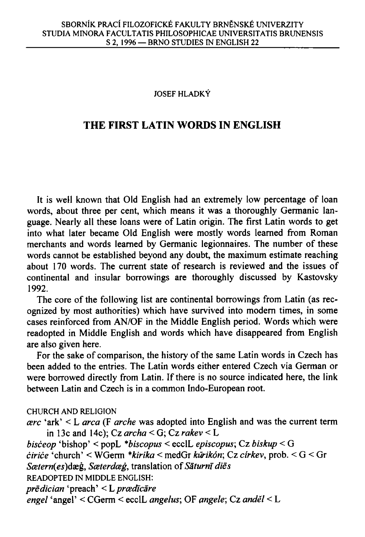## **JOSEF HLADKY**

## **THE FIRST LATIN WORDS IN ENGLISH**

It is well known that Old English had an extremely low percentage of loan words, about three per cent, which means it was a thoroughly Germanic language. Nearly all these loans were of Latin origin. The first Latin words to get into what later became Old English were mostly words learned from Roman merchants and words learned by Germanic legionnaires. The number of these words cannot be established beyond any doubt, the maximum estimate reaching about 170 words. The current state of research is reviewed and the issues of continental and insular borrowings are thoroughly discussed by Kastovsky 1992.

The core of the following list are continental borrowings from Latin (as recognized by most authorities) which have survived into modern times, in some cases reinforced from AN/OF in the Middle English period. Words which were readopted in Middle English and words which have disappeared from English are also given here.

For the sake of comparison, the history of the same Latin words in Czech has been added to the entries. The Latin words either entered Czech via German or were borrowed directly from Latin. If there is no source indicated here, the link between Latin and Czech is in a common Indo-European root.

## **CHURCH AND RELIGION**

```
cere 'ark' < L area (F arche was adopted into English and was the current term 
     in 13c and 14c); Cz archa < G ; Cz rakev < L 
bisceop 'bishop' < popL *biscopus < ecclL episcopus; Cz biskup < G
```

```
cirice 'church' < WGerm *kirika < medGr kurikon; Cz cirkev, prob. < G < Gr
```

```
Scetern(es)dxg, Sceterdceg, translation of Saturn! dies
```

```
READOPTED IN MIDDLE ENGLISH:
```

```
predician 'preach' < Lpraidlcare
```

```
engel 'angel' < CGerm < ecclL angelus; OF angele; Cz andel < L
```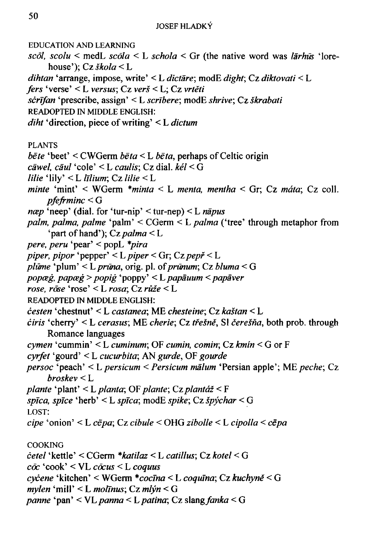**EDUCATION AND LEARNING** 

scol, scolu < medL scola < L schola < Gr (the native word was larhus 'lorehouse');  $Cz \, \xi kola < L$ 

dihtan 'arrange, impose, write' < L dictare; modE dight; Cz diktovati < L

fers 'verse' < L versus; Cz verš < L; Cz vrtěti

scrīfan 'prescribe, assign' < L scrībere; modE shrive; Cz škrabati

**READOPTED IN MIDDLE ENGLISH:** 

*diht* 'direction, piece of writing'  $\lt L$  *dictum* 

**PLANTS** 

- *bēte* 'beet' < CWGerm *bēta* < L *bēta*, perhaps of Celtic origin
- $c\bar{a}$ wel,  $c\bar{a}$ ul 'cole' < L  $caulis$ ; Cz dial,  $k\acute{e}l$  < G
- *lilie* 'lily'  $\lt L$  *lilium*: Cz *lilie*  $\lt L$
- minte 'mint' < WGerm  $**minta*$  < L menta, mentha < Gr; Cz máta; Cz coll.  $p$ fefrminc  $\leq$  G
- *næp* 'neep' (dial. for 'tur-nip' < tur-nep) < L *nāpus*
- palm, palma, palme 'palm' <  $CGerm$ < $L$  palma ('tree' through metaphor from 'part of hand'); Cz palma  $\leq L$
- pere, peru 'pear' < popL \*pira
- piper, pipor 'pepper' < L piper < Gr; Cz pepř < L
- plūme 'plum' < L prūna, orig. pl. of prūnum; Cz bluma < G

popæg, papæg > popig 'poppy' < L papāuum < papāver

rose, rose 'rose' < L rosa; Cz růže < L

**READOPTED IN MIDDLE ENGLISH:** 

- cesten 'chestnut' < L castanea; ME chesteine; Cz kaštan < L
- *ciris* 'cherry' < L cerasus; ME cherie; Cz třešně, SI čerešňa, both prob. through Romance languages
- cymen 'cummin' < L cuminum; OF cumin, comin; Cz  $kmín$  < G or F
- cyrfet 'gourd' < L cucurbita; AN gurde, OF gourde
- persoc 'peach' < L persicum < Persicum mālum 'Persian apple'; ME peche; Cz  $broskev < L$
- plante 'plant' < L planta; OF plante; Cz plantáž < F
- spīca, spīce 'herb' < L spīca; modE spike; Cz špýchar < G

LOST:

cipe 'onion' < L cēpa; Cz cibule < OHG zibolle < L cipolla < cēpa

**COOKING** 

- cetel 'kettle' < CGerm \*katilaz < L catillus; Cz kotel < G
- $c\bar{c}c$  'cook' < VL  $c\bar{c}cus$  < L  $coquus$
- cycene 'kitchen' < WGerm \*cocīna < L coquīna; Cz kuchyně < G

 $m$ ylen 'mill' < L molīnus; Cz mlýn < G

panne 'pan' < VL panna < L patina; Cz slang fanka < G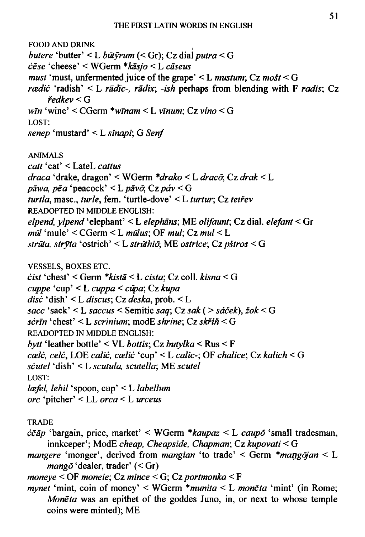**FOOD AND DRINK** butere 'butter' < L būt $\bar{y}$ rum (< Gr); Cz dial putra < G  $c \bar{e} s e$  'cheese' < WGerm \* $k \bar{a} s j o$  < L  $c \bar{a} s e u s$ *must* 'must, unfermented juice of the grape' < L *mustum*;  $Cz$  *mošt* < G rædić 'radish' < L rādīc-, rādix; -ish perhaps from blending with  $F$  radis; Cz  $\check{r}$ edkev < G  $w\bar{m}$  'wine' < CGerm \*winam < L vinum; Cz vino < G LOST: senep 'mustard' < L sinapi; G Senf **ANIMALS** catt 'cat' < LateL cattus draca 'drake, dragon' < WGerm \*drako < L dracō, Cz drak < L pāwa, pē a 'peacock' < L pāvō; Cz páv < G turtla, masc., turle, fem. 'turtle-dove' < L turtur; Cz tetřev READOPTED IN MIDDLE ENGLISH: elpend, vlpend 'elephant' < L elephans; ME olifaunt; Cz dial. elefant < Gr  $m\bar{u}$  'mule' < CGerm < L  $m\bar{u}$ lus; OF  $m\bar{u}$ ; Cz  $m\bar{u}$  < L strūta, stryta 'ostrich' < L strūthio, ME ostrice; Cz pštros < G **VESSELS, BOXES ETC.**  $\dot{c}$ ist 'chest' < Germ \*kistā < L cista: Cz coll. kisna < G  $cuppe$  'cup' < L cuppa < cūpa; Cz kupa disc 'dish' < L discus; Cz deska, prob.  $\leq$  L sacc 'sack' < L saccus < Semitic saq; Cz sak ( > sáček), žok < G scrin 'chest' < L scrinium; modE shrine; Cz skříň < G READOPTED IN MIDDLE ENGLISH: bytt 'leather bottle' < VL bottis; Cz butylka < Rus < F cælċ, celċ, LOE caliċ, cæliċ 'cup' < L calic-; OF chalice; Cz kalich < G scutel 'dish' < L scutula, scutella; ME scutel LOST: læfel, lebil 'spoon, cup' < L labellum orc 'pitcher' < LL orca < L urceus

**TRADE** 

 $\dot{c}\bar{e}\bar{a}p$  'bargain, price, market' < WGerm \* $kaupaz \leq L$  caupo 'small tradesman, innkeeper'; ModE cheap, Cheapside, Chapman; Cz kupovati  $\leq G$ 

mangere 'monger', derived from mangian 'to trade' < Germ  $*$ mangojan < L *mangō* 'dealer, trader'  $(<$ Gr)

moneve  $\le$  OF moneie; Cz mince  $\le$  G; Cz portmonka  $\le$  F

*mynet* 'mint, coin of money' < WGerm  $*$ *munita* < L *moneta* 'mint' (in Rome; Moneta was an epithet of the goddes Juno, in, or next to whose temple coins were minted); ME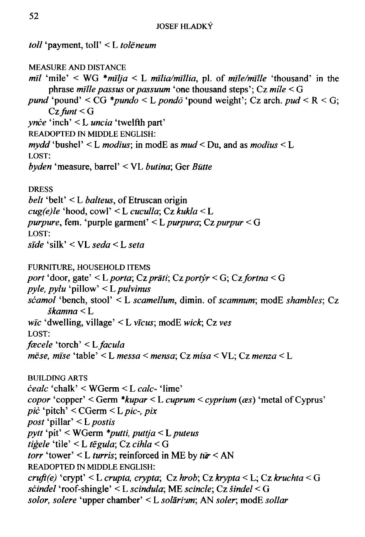toll 'payment, toll' < L toleneum **MEASURE AND DISTANCE**  $m\bar{l}$  'mile' < WG \*mīlja < L mīlia/mīllia, pl. of mīle/mīlle 'thousand' in the phrase mille passus or passuum 'one thousand steps';  $Cz$  mile  $\leq G$ *pund* 'pound' < CG \**pundo* < L *pondō* 'pound weight'; Cz arch. pud < R < G;  $Cz$  funt  $\leq G$  $\textit{price}$  'inch' < L *uncia* 'twelfth part' READOPTED IN MIDDLE ENGLISH:  $mydd$  'bushel' < L modius; in modE as mud < Du, and as modius < L LOST: byden 'measure, barrel' < VL butina; Ger Bütte **DRESS** *belt* 'belt' < L *balteus*, of Etruscan origin  $cug(e)le$  'hood, cowl' < L cuculla; Cz kukla < L *purpure*, fem. 'purple garment' < L *purpura*; Cz *purpur* < G LOST: sīde 'silk' < VL seda < L seta FURNITURE, HOUSEHOLD ITEMS port 'door, gate' < L porta; Cz prāti; Cz portýr < G; Cz fortna < G *pyle, pylu* 'pillow'  $\lt L$  *pulvinus* scamol 'bench, stool' < L scamellum, dimin. of scamnum; modE shambles; Cz  $\check$ skamna  $\leq$  L  $w\bar{c}$  'dwelling, village' < L  $v\bar{c}us$ ; modE wick; Cz ves LOST: *fæcele* 'torch' < L *facula*  $m\bar{e}$ se, mīse 'table' < L messa < mensa; Cz mísa < VL; Cz menza < L **BUILDING ARTS**  $\textit{\'eedlc}$  'chalk' < WGerm < L calc- 'lime' copor 'copper' < Germ \* kupar < L cuprum < cyprium ( $\alpha s$ ) 'metal of Cyprus' *pic* 'pitch' <  $CGerm \le L$  *pic-*, *pix* post 'pillar' < L postis pytt 'pit' < WGerm \*putti, puttja < L puteus tigele 'tile' < L tēgula; Cz cihla < G torr 'tower' < L turris; reinforced in ME by  $t\bar{u}r$  < AN READOPTED IN MIDDLE ENGLISH:  $cruff(e)$  'crypt' < L crupta, crypta; Cz hrob; Cz krypta < L; Cz kruchta < G scindel 'roof-shingle' < L scindula; ME scincle; Cz šindel < G solor, solere 'upper chamber' < L solārium; AN soler; modE sollar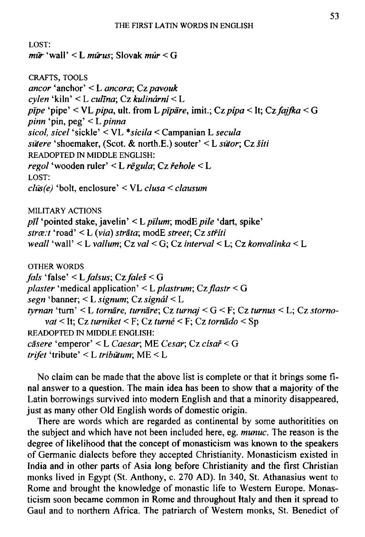```
LOST:
m\bar{u} 'wall' < L mūrus: Slovak múr < G
CRAFTS, TOOLS
ancor 'anchor' < L ancora; Cz pavouk
cylen 'kiln' < L culīna; Cz kulinární < L
pīpe 'pipe' < VL pipa, ult. from L pīpāre, imit.; Cz pipa < It; Cz fajfka < G
pinn 'pin, peq' < L pinna
sicol, sicel 'sickle' < VL *sicila < Campanian L secula
sütere 'shoemaker, (Scot. & north.E.) souter' < L sütor; Cz šíti
READOPTED IN MIDDLE ENGLISH:
regol 'wooden ruler' < L rēgula; Cz řehole < L
LOST:
clus(e) 'bolt, enclosure' < VL clusa < clausumMILITARY ACTIONS
p\bar{l}l 'pointed stake, javelin' < L p\bar{l}lum; modE pile 'dart, spike'
stræ: t 'road' \le L (via) strāta; modE street; Cz striitiweall 'wall' < L vallum; Cz val < G; Cz interval < L; Cz konvalinka < L
OTHER WORDS
fals 'false' < L falsus; Cz faleš < G
plaster 'medical application' < L plastrum; Cz flastr < G
segn 'banner; < L signum; Cz signál < L
tyrnan 'turn' < L tornāre, turnāre; Cz turnaj < G < F; Cz turnus < L; Cz storno-
    vat < It; Cz turniket < F; Cz turné < F; Cz tornādo < Sp
READOPTED IN MIDDLE ENGLISH:
cāsere 'emperor' < L Caesar; ME Cesar; Cz císař < G
trifet 'tribute' < L tribūtum; ME < L
```
No claim can be made that the above list is complete or that it brings some final answer to a question. The main idea has been to show that a majority of the Latin borrowings survived into modern English and that a minority disappeared, just as many other Old English words of domestic origin.

There are words which are regarded as continental by some authoritities on the subject and which have not been included here, eg. munuc. The reason is the degree of likelihood that the concept of monasticism was known to the speakers of Germanic dialects before they accepted Christianity. Monasticism existed in India and in other parts of Asia long before Christianity and the first Christian monks lived in Egypt (St. Anthony, c. 270 AD). In 340, St. Athanasius went to Rome and brought the knowledge of monastic life to Western Europe. Monasticism soon became common in Rome and throughout Italy and then it spread to Gaul and to northern Africa. The patriarch of Western monks, St. Benedict of